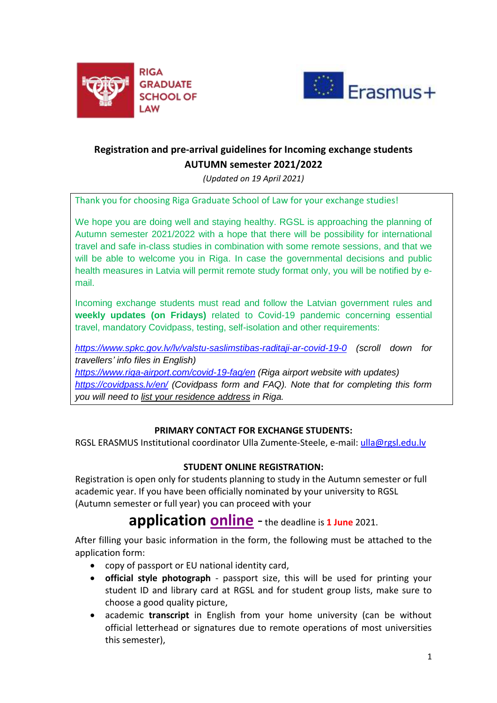



# **Registration and pre-arrival guidelines for Incoming exchange students AUTUMN semester 2021/2022**

*(Updated on 19 April 2021)*

Thank you for choosing Riga Graduate School of Law for your exchange studies!

We hope you are doing well and staying healthy. RGSL is approaching the planning of Autumn semester 2021/2022 with a hope that there will be possibility for international travel and safe in-class studies in combination with some remote sessions, and that we will be able to welcome you in Riga. In case the governmental decisions and public health measures in Latvia will permit remote study format only, you will be notified by email.

Incoming exchange students must read and follow the Latvian government rules and **weekly updates (on Fridays)** related to Covid-19 pandemic concerning essential travel, mandatory Covidpass, testing, self-isolation and other requirements:

*<https://www.spkc.gov.lv/lv/valstu-saslimstibas-raditaji-ar-covid-19-0> (scroll down for travellers' info files in English)*

*<https://www.riga-airport.com/covid-19-faq/en> (Riga airport website with updates) <https://covidpass.lv/en/> (Covidpass form and FAQ). Note that for completing this form you will need to list your residence address in Riga.*

# **PRIMARY CONTACT FOR EXCHANGE STUDENTS:**

RGSL ERASMUS Institutional coordinator Ulla Zumente-Steele, e-mail: [ulla@rgsl.edu.lv](mailto:ulla@rgsl.edu.lv)

# **STUDENT ONLINE REGISTRATION:**

Registration is open only for students planning to study in the Autumn semester or full academic year. If you have been officially nominated by your university to RGSL (Autumn semester or full year) you can proceed with your

**application [online](https://apply.rgsl.edu.lv/courses/course/25-exchange-erasmus-exchange-programmes)** - the deadline is **<sup>1</sup> June** 2021.

After filling your basic information in the form, the following must be attached to the application form:

- copy of passport or EU national identity card,
- **official style photograph** passport size, this will be used for printing your student ID and library card at RGSL and for student group lists, make sure to choose a good quality picture,
- academic **transcript** in English from your home university (can be without official letterhead or signatures due to remote operations of most universities this semester),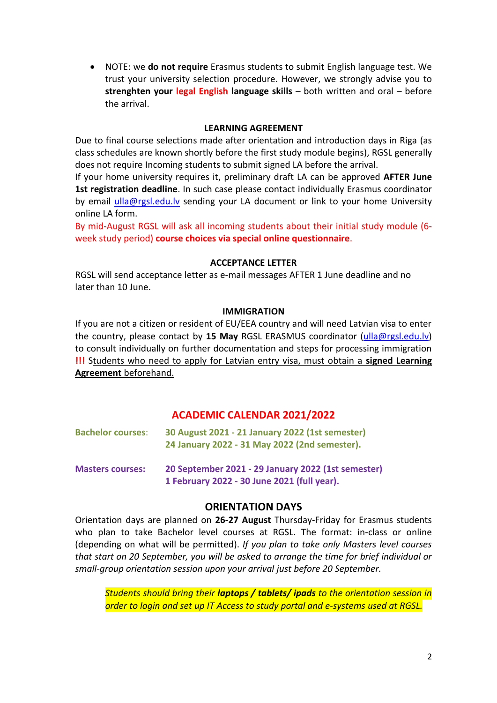NOTE: we **do not require** Erasmus students to submit English language test. We trust your university selection procedure. However, we strongly advise you to **strenghten your legal English language skills** – both written and oral – before the arrival.

# **LEARNING AGREEMENT**

Due to final course selections made after orientation and introduction days in Riga (as class schedules are known shortly before the first study module begins), RGSL generally does not require Incoming students to submit signed LA before the arrival.

If your home university requires it, preliminary draft LA can be approved **AFTER June 1st registration deadline**. In such case please contact individually Erasmus coordinator by email [ulla@rgsl.edu.lv](mailto:ulla@rgsl.edu.lv) sending your LA document or link to your home University online LA form.

By mid-August RGSL will ask all incoming students about their initial study module (6 week study period) **course choices via special online questionnaire**.

#### **ACCEPTANCE LETTER**

RGSL will send acceptance letter as e-mail messages AFTER 1 June deadline and no later than 10 June.

#### **IMMIGRATION**

If you are not a citizen or resident of EU/EEA country and will need Latvian visa to enter the country, please contact by **15 May** RGSL ERASMUS coordinator [\(ulla@rgsl.edu.lv\)](mailto:ulla@rgsl.edu.lv) to consult individually on further documentation and steps for processing immigration **!!!** Students who need to apply for Latvian entry visa, must obtain a **signed Learning Agreement** beforehand.

# **ACADEMIC CALENDAR 2021/2022**

| <b>Bachelor courses:</b> | 30 August 2021 - 21 January 2022 (1st semester)<br>24 January 2022 - 31 May 2022 (2nd semester).  |
|--------------------------|---------------------------------------------------------------------------------------------------|
| <b>Masters courses:</b>  | 20 September 2021 - 29 January 2022 (1st semester)<br>1 February 2022 - 30 June 2021 (full year). |

# **ORIENTATION DAYS**

Orientation days are planned on **26-27 August** Thursday-Friday for Erasmus students who plan to take Bachelor level courses at RGSL. The format: in-class or online (depending on what will be permitted). *If you plan to take only Masters level courses that start on 20 September, you will be asked to arrange the time for brief individual or small-group orientation session upon your arrival just before 20 September.*

*Students should bring their laptops / tablets/ ipads to the orientation session in order to login and set up IT Access to study portal and e-systems used at RGSL.*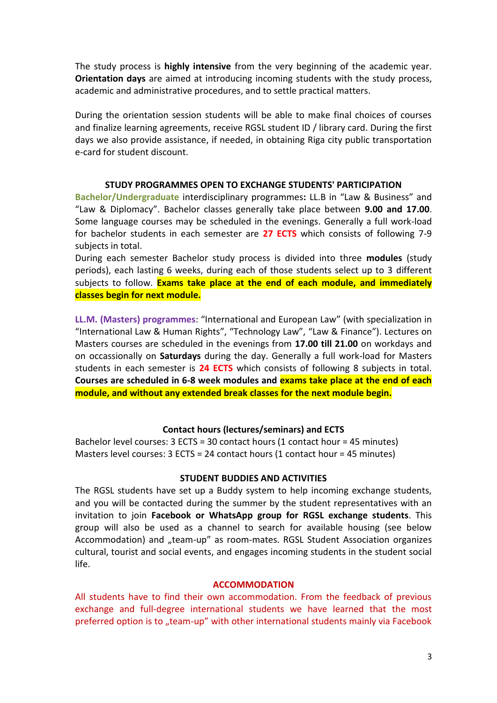The study process is **highly intensive** from the very beginning of the academic year. **Orientation days** are aimed at introducing incoming students with the study process, academic and administrative procedures, and to settle practical matters.

During the orientation session students will be able to make final choices of courses and finalize learning agreements, receive RGSL student ID / library card. During the first days we also provide assistance, if needed, in obtaining Riga city public transportation e-card for student discount.

#### **STUDY PROGRAMMES OPEN TO EXCHANGE STUDENTS' PARTICIPATION**

**Bachelor/Undergraduate** interdisciplinary programmes**:** LL.B in "Law & Business" and "Law & Diplomacy". Bachelor classes generally take place between **9.00 and 17.00**. Some language courses may be scheduled in the evenings. Generally a full work-load for bachelor students in each semester are **27 ECTS** which consists of following 7-9 subjects in total.

During each semester Bachelor study process is divided into three **modules** (study periods), each lasting 6 weeks, during each of those students select up to 3 different subjects to follow. **Exams take place at the end of each module, and immediately classes begin for next module.**

**LL.M. (Masters) programmes**: "International and European Law" (with specialization in "International Law & Human Rights", "Technology Law", "Law & Finance"). Lectures on Masters courses are scheduled in the evenings from **17.00 till 21.00** on workdays and on occassionally on **Saturdays** during the day. Generally a full work-load for Masters students in each semester is **24 ECTS** which consists of following 8 subjects in total. **Courses are scheduled in 6-8 week modules and exams take place at the end of each module, and without any extended break classes for the next module begin.**

## **Contact hours (lectures/seminars) and ECTS**

Bachelor level courses: 3 ECTS = 30 contact hours (1 contact hour = 45 minutes) Masters level courses: 3 ECTS = 24 contact hours (1 contact hour = 45 minutes)

## **STUDENT BUDDIES AND ACTIVITIES**

The RGSL students have set up a Buddy system to help incoming exchange students, and you will be contacted during the summer by the student representatives with an invitation to join **Facebook or WhatsApp group for RGSL exchange students**. This group will also be used as a channel to search for available housing (see below Accommodation) and "team-up" as room-mates. RGSL Student Association organizes cultural, tourist and social events, and engages incoming students in the student social life.

## **ACCOMMODATION**

All students have to find their own accommodation. From the feedback of previous exchange and full-degree international students we have learned that the most preferred option is to "team-up" with other international students mainly via Facebook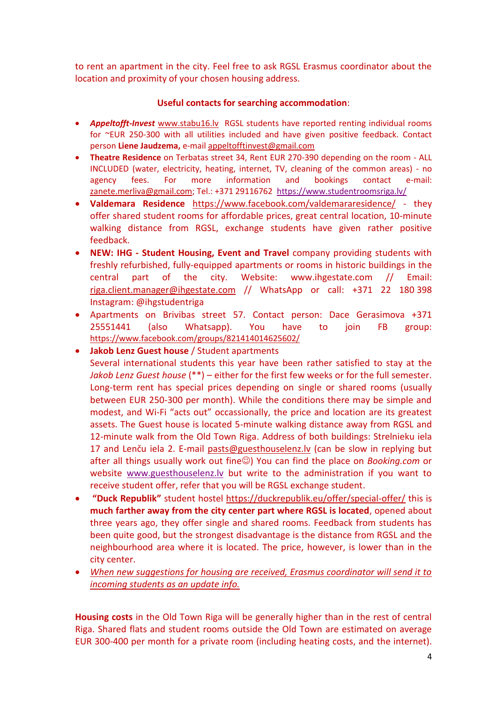to rent an apartment in the city. Feel free to ask RGSL Erasmus coordinator about the location and proximity of your chosen housing address.

# **Useful contacts for searching accommodation**:

- *Appeltofft-Invest* [www.stabu16.lv](http://www.stabu16.lv/) RGSL students have reported renting individual rooms for ~EUR 250-300 with all utilities included and have given positive feedback. Contact person **Liene Jaudzema,** e-mail [appeltofftinvest@gmail.com](mailto:appeltofftinvest@gmail.com)
- **Theatre Residence** on Terbatas street 34, Rent EUR 270-390 depending on the room ALL INCLUDED (water, electricity, heating, internet, TV, cleaning of the common areas) - no agency fees. For more information and bookings contact e-mail: [zanete.merliva@gmail.com;](mailto:zanete.merliva@gmail.com) Tel.: +371 29116762<https://www.studentroomsriga.lv/>
- **Valdemara Residence** <https://www.facebook.com/valdemararesidence/> they offer shared student rooms for affordable prices, great central location, 10-minute walking distance from RGSL, exchange students have given rather positive feedback.
- **NEW: IHG - Student Housing, Event and Travel** company providing students with freshly refurbished, fully-equipped apartments or rooms in historic buildings in the central part of the city. Website: www.ihgestate.com // Email: [riga.client.manager@ihgestate.com](mailto:riga.client.manager@ihgestate.com) // WhatsApp or call: +371 22 180 398 Instagram: @ihgstudentriga
- Apartments on Brivibas street 57. Contact person: Dace Gerasimova +371 25551441 (also Whatsapp). You have to join FB group: <https://www.facebook.com/groups/821414014625602/>
- **Jakob Lenz Guest house** / Student apartments Several international students this year have been rather satisfied to stay at the *Jakob Lenz Guest house* (\*\*) – either for the first few weeks or for the full semester. Long-term rent has special prices depending on single or shared rooms (usually between EUR 250-300 per month). While the conditions there may be simple and modest, and Wi-Fi "acts out" occassionally, the price and location are its greatest assets. The Guest house is located 5-minute walking distance away from RGSL and 12-minute walk from the Old Town Riga. Address of both buildings: Strelnieku iela 17 and Lenču iela 2. E-mail [pasts@guesthouselenz.lv](mailto:pasts@guesthouselenz.lv) (can be slow in replying but after all things usually work out fine<sup>(3)</sup> You can find the place on *Booking.com* or website www.guesthouselenz.ly but write to the administration if you want to receive student offer, refer that you will be RGSL exchange student.
- **"Duck Republik"** student hostel<https://duckrepublik.eu/offer/special-offer/> this is **much farther away from the city center part where RGSL is located**, opened about three years ago, they offer single and shared rooms. Feedback from students has been quite good, but the strongest disadvantage is the distance from RGSL and the neighbourhood area where it is located. The price, however, is lower than in the city center.
- *When new suggestions for housing are received, Erasmus coordinator will send it to incoming students as an update info.*

**Housing costs** in the Old Town Riga will be generally higher than in the rest of central Riga. Shared flats and student rooms outside the Old Town are estimated on average EUR 300-400 per month for a private room (including heating costs, and the internet).